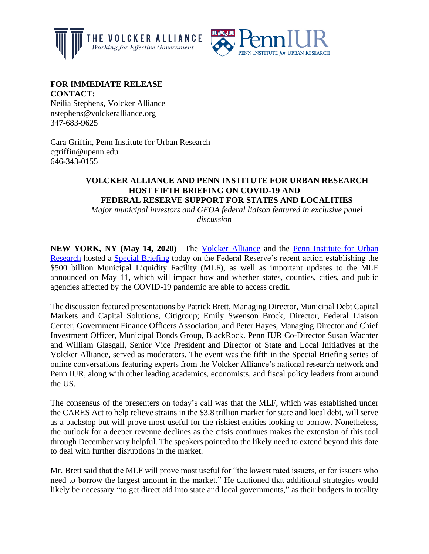



## **FOR IMMEDIATE RELEASE CONTACT:**

Neilia Stephens, Volcker Alliance nstephens@volckeralliance.org 347-683-9625

Cara Griffin, Penn Institute for Urban Research cgriffin@upenn.edu 646-343-0155

## **VOLCKER ALLIANCE AND PENN INSTITUTE FOR URBAN RESEARCH HOST FIFTH BRIEFING ON COVID-19 AND FEDERAL RESERVE SUPPORT FOR STATES AND LOCALITIES**

*Major municipal investors and GFOA federal liaison featured in exclusive panel discussion*

**NEW YORK, NY (May 14, 2020)**—The [Volcker Alliance](https://www.volckeralliance.org/) and the [Penn Institute for Urban](https://penniur.upenn.edu/)  [Research](https://penniur.upenn.edu/) hosted a [Special Briefing](https://www.volckeralliance.org/news/special-briefing-covid-19-and-federal-reserve-municipal-liquidity-facility) today on the Federal Reserve's recent action establishing the \$500 billion Municipal Liquidity Facility (MLF), as well as important updates to the MLF announced on May 11, which will impact how and whether states, counties, cities, and public agencies affected by the COVID-19 pandemic are able to access credit.

The discussion featured presentations by Patrick Brett, Managing Director, Municipal Debt Capital Markets and Capital Solutions, Citigroup; Emily Swenson Brock, Director, Federal Liaison Center, Government Finance Officers Association; and Peter Hayes, Managing Director and Chief Investment Officer, Municipal Bonds Group, BlackRock. Penn IUR Co-Director Susan Wachter and William Glasgall, Senior Vice President and Director of State and Local Initiatives at the Volcker Alliance, served as moderators. The event was the fifth in the Special Briefing series of online conversations featuring experts from the Volcker Alliance's national research network and Penn IUR, along with other leading academics, economists, and fiscal policy leaders from around the US.

The consensus of the presenters on today's call was that the MLF, which was established under the CARES Act to help relieve strains in the \$3.8 trillion market for state and local debt, will serve as a backstop but will prove most useful for the riskiest entities looking to borrow. Nonetheless, the outlook for a deeper revenue declines as the crisis continues makes the extension of this tool through December very helpful. The speakers pointed to the likely need to extend beyond this date to deal with further disruptions in the market.

Mr. Brett said that the MLF will prove most useful for "the lowest rated issuers, or for issuers who need to borrow the largest amount in the market." He cautioned that additional strategies would likely be necessary "to get direct aid into state and local governments," as their budgets in totality